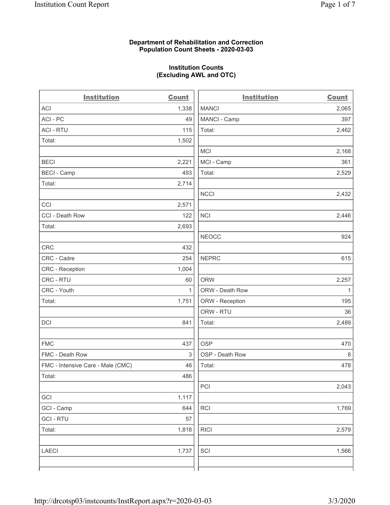## **Department of Rehabilitation and Correction Population Count Sheets - 2020-03-03**

## **Institution Counts (Excluding AWL and OTC)**

 $\overline{a}$ 

| <b>Institution</b>                | <b>Count</b> | <b>Institution</b> | Count        |
|-----------------------------------|--------------|--------------------|--------------|
| ACI                               | 1,338        | <b>MANCI</b>       | 2,065        |
| ACI - PC                          | 49           | MANCI - Camp       | 397          |
| <b>ACI - RTU</b>                  | 115          | Total:             | 2,462        |
| Total:                            | 1,502        |                    |              |
|                                   |              | MCI                | 2,168        |
| <b>BECI</b>                       | 2,221        | MCI - Camp         | 361          |
| <b>BECI - Camp</b>                | 493          | Total:             | 2,529        |
| Total:                            | 2,714        |                    |              |
|                                   |              | <b>NCCI</b>        | 2,432        |
| CCI                               | 2,571        |                    |              |
| CCI - Death Row                   | 122          | <b>NCI</b>         | 2,446        |
| Total:                            | 2,693        |                    |              |
|                                   |              | <b>NEOCC</b>       | 924          |
| <b>CRC</b>                        | 432          |                    |              |
| CRC - Cadre                       | 254          | <b>NEPRC</b>       | 615          |
| CRC - Reception                   | 1,004        |                    |              |
| CRC - RTU                         | 60           | <b>ORW</b>         | 2,257        |
| CRC - Youth                       | $\mathbf{1}$ | ORW - Death Row    | $\mathbf{1}$ |
| Total:                            | 1,751        | ORW - Reception    | 195          |
|                                   |              | ORW - RTU          | 36           |
| DCI                               | 841          | Total:             | 2,489        |
| <b>FMC</b>                        | 437          | <b>OSP</b>         | 470          |
| FMC - Death Row                   | 3            | OSP - Death Row    | 8            |
| FMC - Intensive Care - Male (CMC) | 46           | Total:             | 478          |
| Total:                            | 486          |                    |              |
|                                   |              | PCI                | 2,043        |
| GCI                               | 1,117        |                    |              |
| GCI - Camp                        | 644          | <b>RCI</b>         | 1,769        |
| <b>GCI-RTU</b>                    | 57           |                    |              |
| Total:                            | 1,818        | <b>RICI</b>        | 2,579        |
| LAECI                             | 1,737        | SCI                | 1,566        |
|                                   |              |                    |              |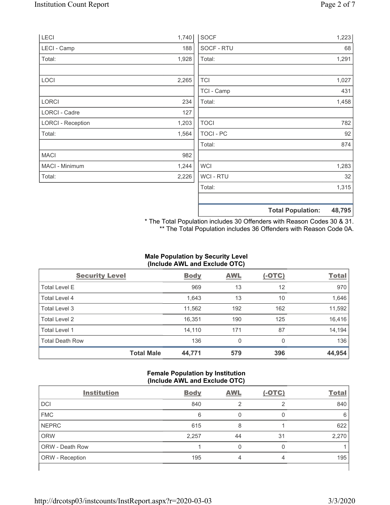| LECI                     | 1,740 | <b>SOCF</b> | 1,223                              |
|--------------------------|-------|-------------|------------------------------------|
| LECI - Camp              | 188   | SOCF - RTU  | 68                                 |
| Total:                   | 1,928 | Total:      | 1,291                              |
|                          |       |             |                                    |
| LOCI                     | 2,265 | <b>TCI</b>  | 1,027                              |
|                          |       | TCI - Camp  | 431                                |
| <b>LORCI</b>             | 234   | Total:      | 1,458                              |
| LORCI - Cadre            | 127   |             |                                    |
| <b>LORCI - Reception</b> | 1,203 | <b>TOCI</b> | 782                                |
| Total:                   | 1,564 | TOCI - PC   | 92                                 |
|                          |       | Total:      | 874                                |
| <b>MACI</b>              | 982   |             |                                    |
| MACI - Minimum           | 1,244 | <b>WCI</b>  | 1,283                              |
| Total:                   | 2,226 | WCI - RTU   | 32                                 |
|                          |       | Total:      | 1,315                              |
|                          |       |             | <b>Total Population:</b><br>48,795 |

\* The Total Population includes 30 Offenders with Reason Codes 30 & 31. \*\* The Total Population includes 36 Offenders with Reason Code 0A.

## **Male Population by Security Level (Include AWL and Exclude OTC)**

| <b>Security Level</b>  |                   | <b>Body</b> | <b>AWL</b> | $(-OTC)$ | <b>Total</b> |
|------------------------|-------------------|-------------|------------|----------|--------------|
| <b>Total Level E</b>   |                   | 969         | 13         | 12       | 970          |
| <b>Total Level 4</b>   |                   | 1,643       | 13         | 10       | 1,646        |
| Total Level 3          |                   | 11,562      | 192        | 162      | 11,592       |
| Total Level 2          |                   | 16,351      | 190        | 125      | 16,416       |
| Total Level 1          |                   | 14,110      | 171        | 87       | 14,194       |
| <b>Total Death Row</b> |                   | 136         | 0          | $\Omega$ | 136          |
|                        | <b>Total Male</b> | 44,771      | 579        | 396      | 44,954       |

## **Female Population by Institution (Include AWL and Exclude OTC)**

| <b>Institution</b>     | <b>Body</b> | <b>AWL</b> | $(-OTC)$ | <b>Total</b> |
|------------------------|-------------|------------|----------|--------------|
| <b>DCI</b>             | 840         | ာ          | っ        | 840          |
| <b>FMC</b>             | 6           |            |          | 6            |
| <b>NEPRC</b>           | 615         | 8          |          | 622          |
| <b>ORW</b>             | 2,257       | 44         | 31       | 2,270        |
| <b>ORW - Death Row</b> |             |            |          |              |
| ORW - Reception        | 195         | 4          | 4        | 195          |
|                        |             |            |          |              |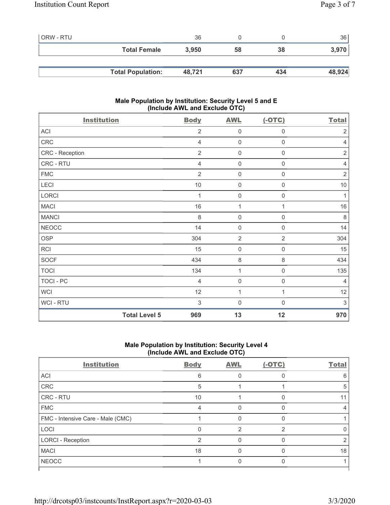| l ORW - RTU |                          | 36     |     |     | 36     |
|-------------|--------------------------|--------|-----|-----|--------|
|             | <b>Total Female</b>      | 3,950  | 58  | 38  | 3,970  |
|             |                          |        |     |     |        |
|             | <b>Total Population:</b> | 48,721 | 637 | 434 | 48,924 |

## **Male Population by Institution: Security Level 5 and E (Include AWL and Exclude OTC)**

| <b>Institution</b>   | <b>Body</b>    | <b>AWL</b>          | $(-OTC)$            | <b>Total</b>   |
|----------------------|----------------|---------------------|---------------------|----------------|
| ACI                  | $\overline{2}$ | $\mathbf 0$         | 0                   | $\sqrt{2}$     |
| CRC                  | $\overline{4}$ | $\mathbf 0$         | $\mathsf{O}\xspace$ | 4              |
| CRC - Reception      | $\overline{2}$ | $\mathbf 0$         | $\mathsf{O}\xspace$ | $\sqrt{2}$     |
| CRC - RTU            | $\overline{4}$ | $\mathbf 0$         | $\mathsf{O}\xspace$ | $\overline{4}$ |
| <b>FMC</b>           | $\overline{2}$ | $\mathsf{O}\xspace$ | $\mathsf{O}\xspace$ | $\sqrt{2}$     |
| LECI                 | $10$           | $\mathsf{O}\xspace$ | 0                   | 10             |
| LORCI                | 1              | $\mathsf{O}\xspace$ | $\mathsf{O}\xspace$ | $\mathbf{1}$   |
| <b>MACI</b>          | 16             | 1                   | 1                   | 16             |
| <b>MANCI</b>         | 8              | $\mathbf 0$         | 0                   | 8              |
| <b>NEOCC</b>         | 14             | $\mathbf 0$         | 0                   | 14             |
| <b>OSP</b>           | 304            | $\overline{2}$      | $\overline{2}$      | 304            |
| RCI                  | 15             | $\mathsf{O}\xspace$ | 0                   | 15             |
| <b>SOCF</b>          | 434            | $\,8\,$             | $\,8\,$             | 434            |
| <b>TOCI</b>          | 134            | 1                   | $\mathbf 0$         | 135            |
| TOCI - PC            | $\overline{4}$ | $\mathsf{O}\xspace$ | $\mathsf{O}\xspace$ | $\overline{4}$ |
| <b>WCI</b>           | 12             | $\mathbf{1}$        | 1                   | 12             |
| WCI - RTU            | 3              | $\mathbf 0$         | $\mathbf 0$         | 3              |
| <b>Total Level 5</b> | 969            | 13                  | 12                  | 970            |

# **Male Population by Institution: Security Level 4 (Include AWL and Exclude OTC)**

| <b>Institution</b>                | <b>Body</b>   | <b>AWL</b> | $(-OTC)$ | <b>Total</b> |
|-----------------------------------|---------------|------------|----------|--------------|
| ACI                               | 6             |            |          | 6            |
| CRC                               | 5             |            |          | 5            |
| <b>CRC - RTU</b>                  | 10            |            | O        |              |
| <b>FMC</b>                        | 4             |            |          |              |
| FMC - Intensive Care - Male (CMC) |               |            | U        |              |
| <b>LOCI</b>                       |               | 2          | っ        |              |
| <b>LORCI - Reception</b>          | $\mathcal{P}$ |            | U        |              |
| <b>MACI</b>                       | 18            |            |          | 18           |
| <b>NEOCC</b>                      |               |            |          |              |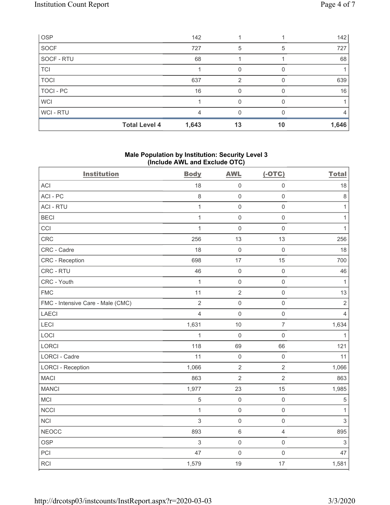| <b>OSP</b>  |                      | 142   |    |    | 142   |
|-------------|----------------------|-------|----|----|-------|
| <b>SOCF</b> |                      | 727   | 5  | 5  | 727   |
| SOCF - RTU  |                      | 68    |    |    | 68    |
| <b>TCI</b>  |                      |       |    |    |       |
| <b>TOCI</b> |                      | 637   | 2  |    | 639   |
| TOCI - PC   |                      | 16    |    |    | 16    |
| <b>WCI</b>  |                      |       |    |    |       |
| WCI-RTU     |                      |       |    |    | 4     |
|             | <b>Total Level 4</b> | 1,643 | 13 | 10 | 1,646 |

## **Male Population by Institution: Security Level 3 (Include AWL and Exclude OTC)**

| <b>Institution</b>                | <b>Body</b>    | <b>AWL</b>          | $(-OTC)$            | <b>Total</b>   |
|-----------------------------------|----------------|---------------------|---------------------|----------------|
| <b>ACI</b>                        | 18             | $\mathsf 0$         | $\mathsf 0$         | 18             |
| ACI-PC                            | $\,8\,$        | $\mathsf 0$         | $\mathsf 0$         | $\,8\,$        |
| <b>ACI - RTU</b>                  | $\mathbf{1}$   | $\mathsf{O}\xspace$ | $\mathsf{O}\xspace$ | $\mathbf{1}$   |
| <b>BECI</b>                       | $\mathbf{1}$   | $\mathsf 0$         | $\mathsf 0$         | $\mathbf{1}$   |
| CCI                               | $\mathbf{1}$   | $\mathsf{O}\xspace$ | $\mathsf 0$         | $\mathbf{1}$   |
| CRC                               | 256            | 13                  | 13                  | 256            |
| CRC - Cadre                       | 18             | $\mathbf 0$         | $\mathsf{O}\xspace$ | 18             |
| CRC - Reception                   | 698            | 17                  | 15                  | 700            |
| CRC - RTU                         | 46             | $\mathbf 0$         | $\mathsf{O}\xspace$ | 46             |
| CRC - Youth                       | $\mathbf{1}$   | $\mathsf{O}\xspace$ | $\mathsf{O}\xspace$ | $\mathbf{1}$   |
| <b>FMC</b>                        | 11             | $\overline{2}$      | $\mathsf{O}\xspace$ | 13             |
| FMC - Intensive Care - Male (CMC) | $\overline{2}$ | $\mathsf{O}\xspace$ | $\mathsf{O}\xspace$ | $\overline{2}$ |
| <b>LAECI</b>                      | $\overline{4}$ | $\mathsf{O}\xspace$ | $\mathsf{O}\xspace$ | $\overline{4}$ |
| LECI                              | 1,631          | 10                  | $\overline{7}$      | 1,634          |
| LOCI                              | $\mathbf{1}$   | $\mathbf 0$         | $\mathsf{O}\xspace$ | $\mathbf{1}$   |
| LORCI                             | 118            | 69                  | 66                  | 121            |
| <b>LORCI - Cadre</b>              | 11             | $\mathsf{O}\xspace$ | $\mathsf{O}\xspace$ | 11             |
| <b>LORCI - Reception</b>          | 1,066          | $\overline{2}$      | $\overline{2}$      | 1,066          |
| <b>MACI</b>                       | 863            | $\overline{2}$      | $\overline{2}$      | 863            |
| <b>MANCI</b>                      | 1,977          | 23                  | 15                  | 1,985          |
| MCI                               | 5              | $\mathsf 0$         | $\mathsf{O}\xspace$ | $\,$ 5 $\,$    |
| <b>NCCI</b>                       | $\mathbf{1}$   | $\mathsf 0$         | $\mathsf{O}\xspace$ | $\mathbf{1}$   |
| <b>NCI</b>                        | 3              | $\mathsf{O}\xspace$ | $\mathbf 0$         | $\mathfrak{S}$ |
| <b>NEOCC</b>                      | 893            | $\,6\,$             | $\overline{4}$      | 895            |
| <b>OSP</b>                        | 3              | $\mathsf{O}\xspace$ | $\mathsf{O}\xspace$ | $\sqrt{3}$     |
| PCI                               | 47             | $\mathbf 0$         | $\mathbf 0$         | 47             |
| <b>RCI</b>                        | 1,579          | 19                  | 17                  | 1,581          |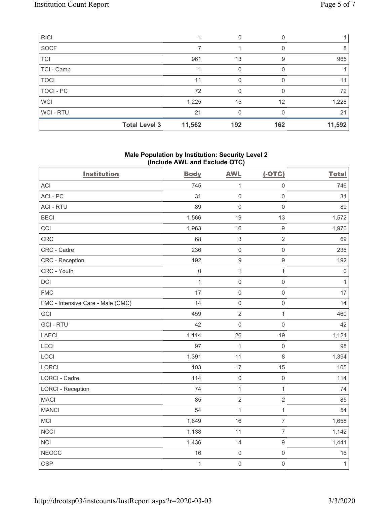|             | <b>Total Level 3</b> | 11,562 | 192 | 162 | 11,592 |
|-------------|----------------------|--------|-----|-----|--------|
| WCI-RTU     |                      | 21     |     |     | 21     |
| <b>WCI</b>  |                      | 1,225  | 15  | 12  | 1,228  |
| TOCI - PC   |                      | 72     | O   |     | 72     |
| <b>TOCI</b> |                      | 11     |     |     | 11     |
| TCI - Camp  |                      |        | 0   |     |        |
| <b>TCI</b>  |                      | 961    | 13  | 9   | 965    |
| SOCF        |                      |        |     |     | 8      |
| <b>RICI</b> |                      |        |     |     |        |

## **Male Population by Institution: Security Level 2 (Include AWL and Exclude OTC)**

| <b>Institution</b>                | <b>Body</b>  | <b>AWL</b>          | $(-OTC)$            | <b>Total</b> |
|-----------------------------------|--------------|---------------------|---------------------|--------------|
| <b>ACI</b>                        | 745          | $\mathbf{1}$        | $\mathsf{O}\xspace$ | 746          |
| ACI-PC                            | 31           | $\mathbf 0$         | $\mathsf{O}\xspace$ | 31           |
| <b>ACI - RTU</b>                  | 89           | $\mathbf 0$         | $\mathsf{O}\xspace$ | 89           |
| <b>BECI</b>                       | 1,566        | 19                  | 13                  | 1,572        |
| CCI                               | 1,963        | 16                  | $\boldsymbol{9}$    | 1,970        |
| CRC                               | 68           | $\sqrt{3}$          | $\overline{2}$      | 69           |
| CRC - Cadre                       | 236          | $\mathsf{O}\xspace$ | $\mathsf{O}\xspace$ | 236          |
| CRC - Reception                   | 192          | $\boldsymbol{9}$    | $\boldsymbol{9}$    | 192          |
| CRC - Youth                       | $\mathbf 0$  | $\mathbf{1}$        | $\mathbf{1}$        | $\mathbf 0$  |
| <b>DCI</b>                        | $\mathbf{1}$ | $\mathsf{O}\xspace$ | $\mathsf{O}\xspace$ | $\mathbf{1}$ |
| <b>FMC</b>                        | 17           | $\mathbf 0$         | $\mathsf{O}\xspace$ | 17           |
| FMC - Intensive Care - Male (CMC) | 14           | $\mathbf 0$         | $\mathsf{O}\xspace$ | 14           |
| GCI                               | 459          | $\overline{2}$      | $\mathbf{1}$        | 460          |
| <b>GCI-RTU</b>                    | 42           | $\mathbf 0$         | $\mathbf 0$         | 42           |
| <b>LAECI</b>                      | 1,114        | 26                  | 19                  | 1,121        |
| LECI                              | 97           | $\mathbf{1}$        | $\mathsf{O}\xspace$ | 98           |
| LOCI                              | 1,391        | 11                  | 8                   | 1,394        |
| LORCI                             | 103          | 17                  | 15                  | 105          |
| <b>LORCI - Cadre</b>              | 114          | $\mathbf 0$         | $\mathsf{O}\xspace$ | 114          |
| <b>LORCI - Reception</b>          | 74           | $\mathbf{1}$        | $\mathbf{1}$        | 74           |
| <b>MACI</b>                       | 85           | $\overline{2}$      | $\overline{2}$      | 85           |
| <b>MANCI</b>                      | 54           | $\mathbf{1}$        | $\mathbf{1}$        | 54           |
| <b>MCI</b>                        | 1,649        | 16                  | $\overline{7}$      | 1,658        |
| <b>NCCI</b>                       | 1,138        | 11                  | $\overline{7}$      | 1,142        |
| <b>NCI</b>                        | 1,436        | 14                  | $\boldsymbol{9}$    | 1,441        |
| <b>NEOCC</b>                      | 16           | $\mathbf 0$         | $\mathbf 0$         | 16           |
| <b>OSP</b>                        | $\mathbf{1}$ | $\mathbf 0$         | $\mathsf{O}\xspace$ | $\mathbf{1}$ |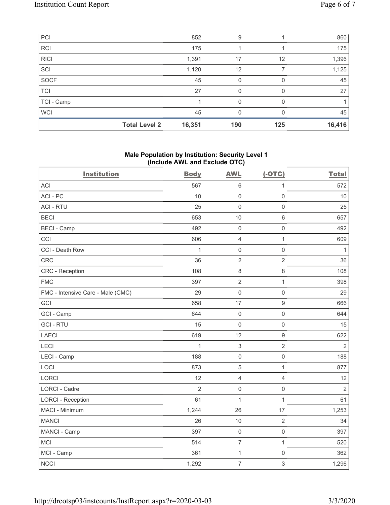| PCI        |                      | 852    | 9   |     | 860    |
|------------|----------------------|--------|-----|-----|--------|
| RCI        |                      | 175    |     |     | 175    |
| RICI       |                      | 1,391  | 17  | 12  | 1,396  |
| SCI        |                      | 1,120  | 12  |     | 1,125  |
| SOCF       |                      | 45     | 0   |     | 45     |
| <b>TCI</b> |                      | 27     | 0   |     | 27     |
| TCI - Camp |                      |        | 0   |     |        |
| <b>WCI</b> |                      | 45     | 0   | 0   | 45     |
|            | <b>Total Level 2</b> | 16,351 | 190 | 125 | 16,416 |

## **Male Population by Institution: Security Level 1 (Include AWL and Exclude OTC)**

| <b>Institution</b>                | <b>Body</b>    | <b>AWL</b>          | $(-OTC)$            | <b>Total</b>   |
|-----------------------------------|----------------|---------------------|---------------------|----------------|
| <b>ACI</b>                        | 567            | $\,6\,$             | $\mathbf{1}$        | 572            |
| ACI-PC                            | 10             | $\mathbf 0$         | $\mathsf{O}\xspace$ | 10             |
| <b>ACI - RTU</b>                  | 25             | $\mathsf{O}\xspace$ | $\mathsf{O}\xspace$ | 25             |
| <b>BECI</b>                       | 653            | 10                  | $\,6\,$             | 657            |
| <b>BECI - Camp</b>                | 492            | $\mathbf 0$         | $\mathsf{O}\xspace$ | 492            |
| CCI                               | 606            | $\overline{4}$      | $\mathbf{1}$        | 609            |
| CCI - Death Row                   | $\mathbf{1}$   | $\mathbf 0$         | $\mathsf{O}\xspace$ | 1              |
| CRC                               | 36             | $\overline{2}$      | $\overline{2}$      | 36             |
| CRC - Reception                   | 108            | $\,8\,$             | $\,8\,$             | 108            |
| <b>FMC</b>                        | 397            | $\overline{2}$      | $\mathbf{1}$        | 398            |
| FMC - Intensive Care - Male (CMC) | 29             | $\mathbf 0$         | $\mathsf{O}\xspace$ | 29             |
| GCI                               | 658            | 17                  | $\boldsymbol{9}$    | 666            |
| GCI - Camp                        | 644            | $\mathbf 0$         | $\mathsf{O}\xspace$ | 644            |
| <b>GCI-RTU</b>                    | 15             | $\mathbf 0$         | $\mathsf{O}\xspace$ | 15             |
| <b>LAECI</b>                      | 619            | 12                  | $\boldsymbol{9}$    | 622            |
| LECI                              | $\mathbf{1}$   | $\sqrt{3}$          | $\overline{2}$      | $\overline{2}$ |
| LECI - Camp                       | 188            | $\mathbf 0$         | $\mathsf{O}\xspace$ | 188            |
| LOCI                              | 873            | 5                   | $\mathbf{1}$        | 877            |
| LORCI                             | 12             | $\overline{4}$      | $\overline{4}$      | 12             |
| <b>LORCI - Cadre</b>              | $\overline{2}$ | $\mathsf 0$         | $\mathbf 0$         | $\overline{2}$ |
| <b>LORCI - Reception</b>          | 61             | $\mathbf{1}$        | $\mathbf{1}$        | 61             |
| MACI - Minimum                    | 1,244          | 26                  | 17                  | 1,253          |
| <b>MANCI</b>                      | 26             | 10                  | $\overline{2}$      | 34             |
| MANCI - Camp                      | 397            | $\mathbf 0$         | $\mathsf{O}\xspace$ | 397            |
| <b>MCI</b>                        | 514            | $\overline{7}$      | $\mathbf 1$         | 520            |
| MCI - Camp                        | 361            | $\mathbf{1}$        | $\mathsf{O}\xspace$ | 362            |
| <b>NCCI</b>                       | 1,292          | $\overline{7}$      | $\,$ 3 $\,$         | 1,296          |